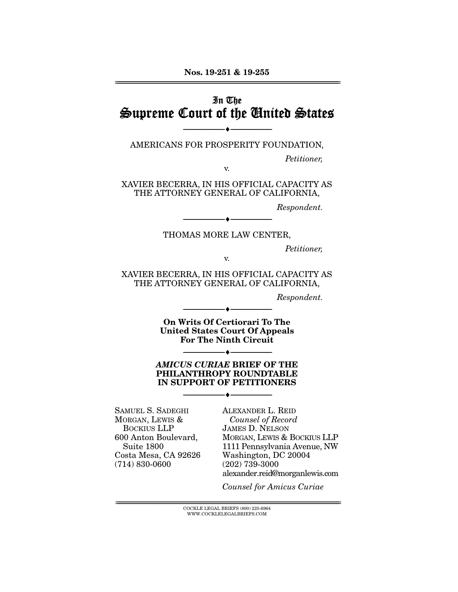## In The Supreme Court of the United States

AMERICANS FOR PROSPERITY FOUNDATION,

v.

--------------------------------- ♦ ---------------------------------

Petitioner,

XAVIER BECERRA, IN HIS OFFICIAL CAPACITY AS THE ATTORNEY GENERAL OF CALIFORNIA,

Respondent.

THOMAS MORE LAW CENTER,

--------------------------------- ♦ ---------------------------------

Petitioner,

v.

XAVIER BECERRA, IN HIS OFFICIAL CAPACITY AS THE ATTORNEY GENERAL OF CALIFORNIA,

Respondent.

**On Writs Of Certiorari To The United States Court Of Appeals For The Ninth Circuit** 

--------------------------------- ♦ ---------------------------------

#### *AMICUS CURIAE* **BRIEF OF THE PHILANTHROPY ROUNDTABLE IN SUPPORT OF PETITIONERS**

--------------------------------- ♦ ---------------------------------

--------------------------------- ♦ ---------------------------------

SAMUEL S. SADEGHI MORGAN, LEWIS & BOCKIUS LLP 600 Anton Boulevard, Suite 1800 Costa Mesa, CA 92626 (714) 830-0600

ALEXANDER L. REID Counsel of Record JAMES D. NELSON MORGAN, LEWIS & BOCKIUS LLP 1111 Pennsylvania Avenue, NW Washington, DC 20004 (202) 739-3000 alexander.reid@morganlewis.com

Counsel for Amicus Curiae

 $\overline{\text{COCKLE LEGAL BRIEFS (800) 225-6964}}$ WWW.COCKLELEGALBRIEFS.COM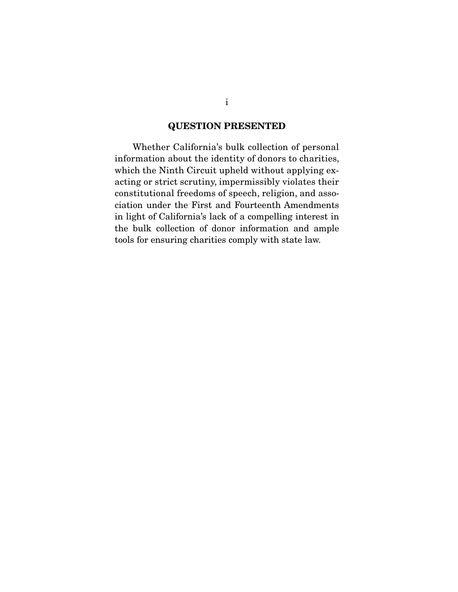### **QUESTION PRESENTED**

 Whether California's bulk collection of personal information about the identity of donors to charities, which the Ninth Circuit upheld without applying exacting or strict scrutiny, impermissibly violates their constitutional freedoms of speech, religion, and association under the First and Fourteenth Amendments in light of California's lack of a compelling interest in the bulk collection of donor information and ample tools for ensuring charities comply with state law.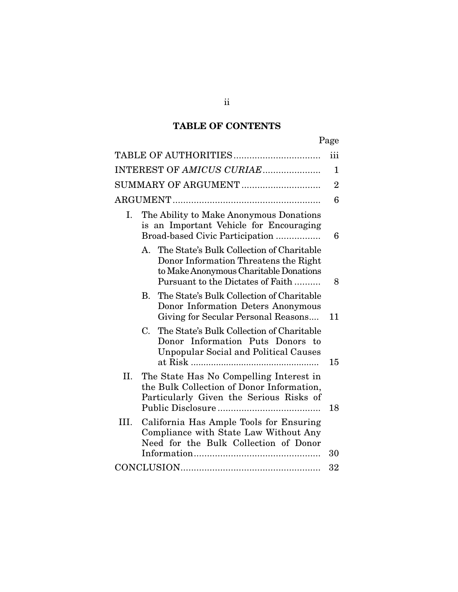## **TABLE OF CONTENTS**

| ۰.<br>×<br>۰, |
|---------------|
|---------------|

|                                                                                                                                                                      | iii            |  |
|----------------------------------------------------------------------------------------------------------------------------------------------------------------------|----------------|--|
| INTEREST OF AMICUS CURIAE                                                                                                                                            | 1              |  |
| SUMMARY OF ARGUMENT                                                                                                                                                  | $\overline{2}$ |  |
|                                                                                                                                                                      | 6              |  |
| The Ability to Make Anonymous Donations<br>Ι.<br>is an Important Vehicle for Encouraging<br>Broad-based Civic Participation                                          |                |  |
| A. The State's Bulk Collection of Charitable<br>Donor Information Threatens the Right<br>to Make Anonymous Charitable Donations<br>Pursuant to the Dictates of Faith | 8              |  |
| The State's Bulk Collection of Charitable<br><b>B.</b><br>Donor Information Deters Anonymous<br>Giving for Secular Personal Reasons                                  | 11             |  |
| $C_{\cdot}$<br>The State's Bulk Collection of Charitable<br>Donor Information Puts Donors to<br><b>Unpopular Social and Political Causes</b>                         | 15             |  |
| II.<br>The State Has No Compelling Interest in<br>the Bulk Collection of Donor Information,<br>Particularly Given the Serious Risks of                               | 18             |  |
| III.<br>California Has Ample Tools for Ensuring<br>Compliance with State Law Without Any<br>Need for the Bulk Collection of Donor                                    | 30             |  |
|                                                                                                                                                                      | 32             |  |

ii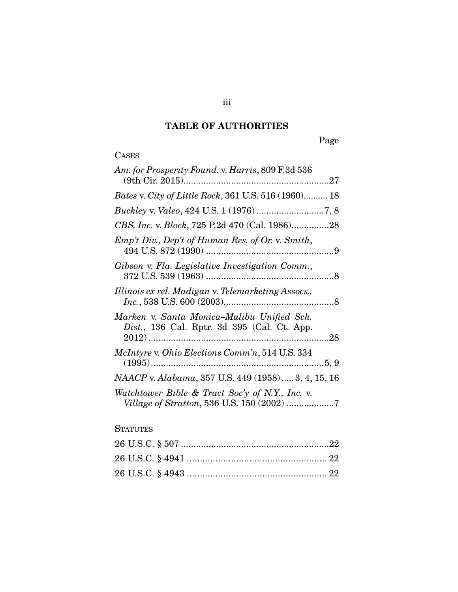## **TABLE OF AUTHORITIES**

## **CASES**

| Am. for Prosperity Found. v. Harris, 809 F.3d 536                                             |  |
|-----------------------------------------------------------------------------------------------|--|
| Bates v. City of Little Rock, 361 U.S. 516 (1960) 18                                          |  |
|                                                                                               |  |
| CBS, Inc. v. Block, 725 P.2d 470 (Cal. 1986)28                                                |  |
| Emp't Div., Dep't of Human Res. of Or. v. Smith,                                              |  |
| Gibson v. Fla. Legislative Investigation Comm.,                                               |  |
| Illinois ex rel. Madigan v. Telemarketing Assocs.,                                            |  |
| Marken v. Santa Monica-Malibu Unified Sch.<br>Dist., 136 Cal. Rptr. 3d 395 (Cal. Ct. App.     |  |
| <i>McIntyre v. Ohio Elections Comm'n,</i> 514 U.S. 334                                        |  |
| NAACP v. Alabama, 357 U.S. 449 (1958) 3, 4, 15, 16                                            |  |
| Watchtower Bible & Tract Soc'y of N.Y., Inc. v.<br>Village of Stratton, 536 U.S. 150 (2002) 7 |  |

### **STATUTES**

iii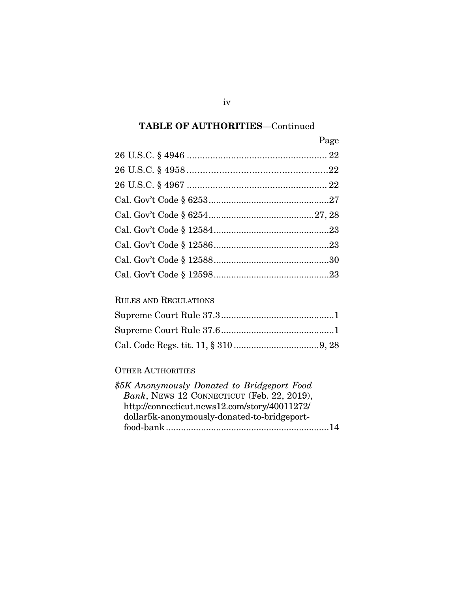| Page |
|------|
|      |
|      |
|      |
|      |
|      |
|      |
|      |
|      |
|      |

### RULES AND REGULATIONS

### OTHER AUTHORITIES

| \$5K Anonymously Donated to Bridgeport Food   |  |
|-----------------------------------------------|--|
| Bank, NEWS 12 CONNECTICUT (Feb. 22, 2019),    |  |
| http://connecticut.news12.com/story/40011272/ |  |
| dollar5k-anonymously-donated-to-bridgeport-   |  |
|                                               |  |
|                                               |  |

iv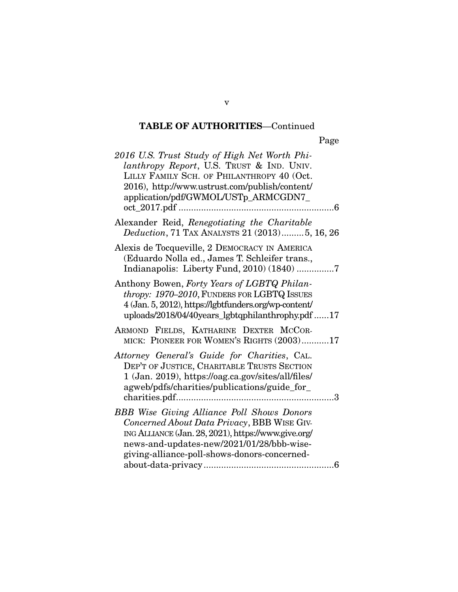| 2016 U.S. Trust Study of High Net Worth Phi-<br>lanthropy Report, U.S. TRUST & IND. UNIV.<br>LILLY FAMILY SCH. OF PHILANTHROPY 40 (Oct.<br>2016), http://www.ustrust.com/publish/content/<br>application/pdf/GWMOL/USTp_ARMCGDN7_                    |
|------------------------------------------------------------------------------------------------------------------------------------------------------------------------------------------------------------------------------------------------------|
|                                                                                                                                                                                                                                                      |
| Alexander Reid, Renegotiating the Charitable<br>Deduction, 71 TAX ANALYSTS 21 (2013) 5, 16, 26                                                                                                                                                       |
| Alexis de Tocqueville, 2 DEMOCRACY IN AMERICA<br>(Eduardo Nolla ed., James T. Schleifer trans.,<br>Indianapolis: Liberty Fund, 2010) (1840) 7                                                                                                        |
| Anthony Bowen, Forty Years of LGBTQ Philan-<br>thropy: 1970–2010, FUNDERS FOR LGBTQ ISSUES<br>4 (Jan. 5, 2012), https://lgbtfunders.org/wp-content/<br>uploads/2018/04/40years_lgbtqphilanthrophy.pdf 17                                             |
| ARMOND FIELDS, KATHARINE DEXTER MCCOR-<br>MICK: PIONEER FOR WOMEN'S RIGHTS (2003)17                                                                                                                                                                  |
| Attorney General's Guide for Charities, CAL.<br>DEP'T OF JUSTICE, CHARITABLE TRUSTS SECTION<br>1 (Jan. 2019), https://oag.ca.gov/sites/all/files/<br>agweb/pdfs/charities/publications/guide_for_                                                    |
| <b>BBB</b> Wise Giving Alliance Poll Shows Donors<br>Concerned About Data Privacy, BBB WISE GIV-<br>ING ALLIANCE (Jan. 28, 2021), https://www.give.org/<br>news-and-updates-new/2021/01/28/bbb-wise-<br>giving-alliance-poll-shows-donors-concerned- |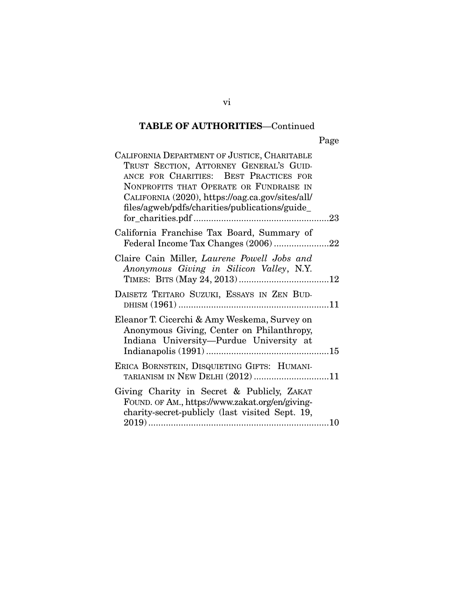|--|

| CALIFORNIA DEPARTMENT OF JUSTICE, CHARITABLE<br>TRUST SECTION, ATTORNEY GENERAL'S GUID-<br>ANCE FOR CHARITIES: BEST PRACTICES FOR<br>NONPROFITS THAT OPERATE OR FUNDRAISE IN<br>CALIFORNIA (2020), https://oag.ca.gov/sites/all/<br>files/agweb/pdfs/charities/publications/guide_ |  |
|------------------------------------------------------------------------------------------------------------------------------------------------------------------------------------------------------------------------------------------------------------------------------------|--|
|                                                                                                                                                                                                                                                                                    |  |
| California Franchise Tax Board, Summary of                                                                                                                                                                                                                                         |  |
| Claire Cain Miller, Laurene Powell Jobs and<br>Anonymous Giving in Silicon Valley, N.Y.                                                                                                                                                                                            |  |
| DAISETZ TEITARO SUZUKI, ESSAYS IN ZEN BUD-                                                                                                                                                                                                                                         |  |
| Eleanor T. Cicerchi & Amy Weskema, Survey on<br>Anonymous Giving, Center on Philanthropy,<br>Indiana University-Purdue University at                                                                                                                                               |  |
| ERICA BORNSTEIN, DISQUIETING GIFTS: HUMANI-<br>TARIANISM IN NEW DELHI (2012) 11                                                                                                                                                                                                    |  |
| Giving Charity in Secret & Publicly, ZAKAT<br>FOUND. OF AM., https://www.zakat.org/en/giving-<br>charity-secret-publicly (last visited Sept. 19,                                                                                                                                   |  |

vi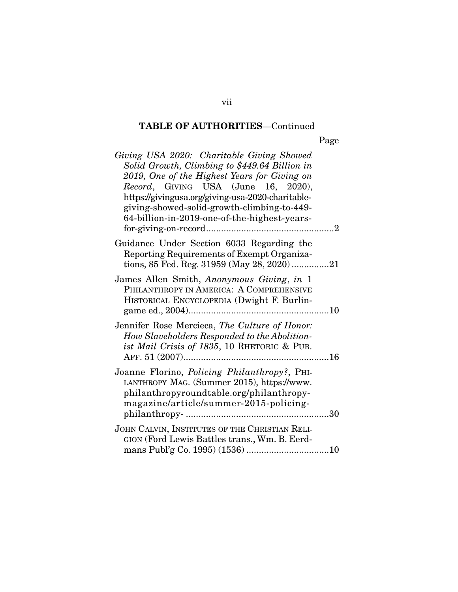Page

| Giving USA 2020: Charitable Giving Showed<br>Solid Growth, Climbing to \$449.64 Billion in<br>2019, One of the Highest Years for Giving on<br>Record, GIVING USA (June 16, 2020),<br>https://givingusa.org/giving-usa-2020-charitable-<br>giving-showed-solid-growth-climbing-to-449-<br>64-billion-in-2019-one-of-the-highest-years- |  |
|---------------------------------------------------------------------------------------------------------------------------------------------------------------------------------------------------------------------------------------------------------------------------------------------------------------------------------------|--|
| Guidance Under Section 6033 Regarding the<br>Reporting Requirements of Exempt Organiza-<br>tions, 85 Fed. Reg. 31959 (May 28, 2020)21                                                                                                                                                                                                 |  |
| James Allen Smith, Anonymous Giving, in 1<br>PHILANTHROPY IN AMERICA: A COMPREHENSIVE<br>HISTORICAL ENCYCLOPEDIA (Dwight F. Burlin-                                                                                                                                                                                                   |  |
| Jennifer Rose Mercieca, The Culture of Honor:<br>How Slaveholders Responded to the Abolition-<br>ist Mail Crisis of 1835, 10 RHETORIC & PUB.                                                                                                                                                                                          |  |
| Joanne Florino, Policing Philanthropy?, PHI-<br>LANTHROPY MAG. (Summer 2015), https://www.<br>philanthropyroundtable.org/philanthropy-<br>magazine/article/summer-2015-policing-<br>.30                                                                                                                                               |  |
| JOHN CALVIN, INSTITUTES OF THE CHRISTIAN RELI-<br>GION (Ford Lewis Battles trans., Wm. B. Eerd-                                                                                                                                                                                                                                       |  |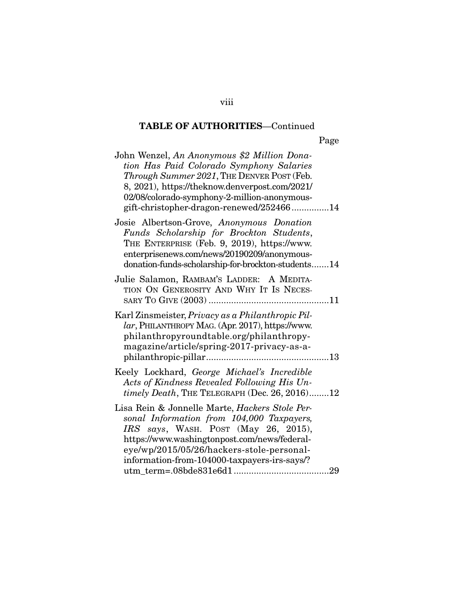| John Wenzel, An Anonymous \$2 Million Dona-<br>tion Has Paid Colorado Symphony Salaries<br>Through Summer 2021, THE DENVER POST (Feb.<br>8, 2021), https://theknow.denverpost.com/2021/<br>02/08/colorado-symphony-2-million-anonymous-<br>gift-christopher-dragon-renewed/25246614 |
|-------------------------------------------------------------------------------------------------------------------------------------------------------------------------------------------------------------------------------------------------------------------------------------|
| Josie Albertson-Grove, Anonymous Donation<br>Funds Scholarship for Brockton Students,<br>THE ENTERPRISE (Feb. 9, 2019), https://www.<br>enterprisenews.com/news/20190209/anonymous-<br>donation-funds-scholarship-for-brockton-students14                                           |
| Julie Salamon, RAMBAM'S LADDER: A MEDITA-<br>TION ON GENEROSITY AND WHY IT IS NECES-                                                                                                                                                                                                |
| Karl Zinsmeister, Privacy as a Philanthropic Pil-<br>lar, PHILANTHROPY MAG. (Apr. 2017), https://www.<br>philanthropyroundtable.org/philanthropy-<br>magazine/article/spring-2017-privacy-as-a-                                                                                     |
| Keely Lockhard, George Michael's Incredible<br>Acts of Kindness Revealed Following His Un-<br>timely Death, THE TELEGRAPH (Dec. 26, 2016)12                                                                                                                                         |
| Lisa Rein & Jonnelle Marte, Hackers Stole Per-<br>sonal Information from 104,000 Taxpayers,<br>IRS says, WASH. POST (May 26, 2015),<br>https://www.washingtonpost.com/news/federal-<br>eye/wp/2015/05/26/hackers-stole-personal-<br>information-from-104000-taxpayers-irs-says/?    |

viii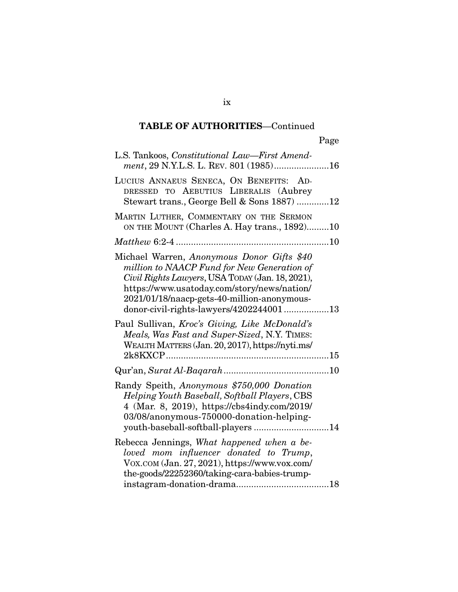| L.S. Tankoos, Constitutional Law—First Amend-<br>ment, 29 N.Y.L.S. L. REV. 801 (1985)16                                                                                                                                                                                                |
|----------------------------------------------------------------------------------------------------------------------------------------------------------------------------------------------------------------------------------------------------------------------------------------|
| LUCIUS ANNAEUS SENECA, ON BENEFITS: AD-<br>DRESSED TO AEBUTIUS LIBERALIS (Aubrey<br>Stewart trans., George Bell & Sons 1887) 12                                                                                                                                                        |
| MARTIN LUTHER, COMMENTARY ON THE SERMON<br>ON THE MOUNT (Charles A. Hay trans., 1892)10                                                                                                                                                                                                |
|                                                                                                                                                                                                                                                                                        |
| Michael Warren, Anonymous Donor Gifts \$40<br>million to NAACP Fund for New Generation of<br>Civil Rights Lawyers, USA TODAY (Jan. 18, 2021),<br>https://www.usatoday.com/story/news/nation/<br>2021/01/18/naacp-gets-40-million-anonymous-<br>donor-civil-rights-lawyers/420224400113 |
| Paul Sullivan, Kroc's Giving, Like McDonald's<br>Meals, Was Fast and Super-Sized, N.Y. TIMES:<br>WEALTH MATTERS (Jan. 20, 2017), https://nyti.ms/                                                                                                                                      |
|                                                                                                                                                                                                                                                                                        |
| Randy Speith, Anonymous \$750,000 Donation<br>Helping Youth Baseball, Softball Players, CBS<br>4 (Mar. 8, 2019), https://cbs4indy.com/2019/<br>03/08/anonymous-750000-donation-helping-<br>youth-baseball-softball-players14                                                           |
| Rebecca Jennings, What happened when a be-<br>loved mom influencer donated to Trump,<br>VOX.COM (Jan. 27, 2021), https://www.vox.com/<br>the-goods/22252360/taking-cara-babies-trump-                                                                                                  |

ix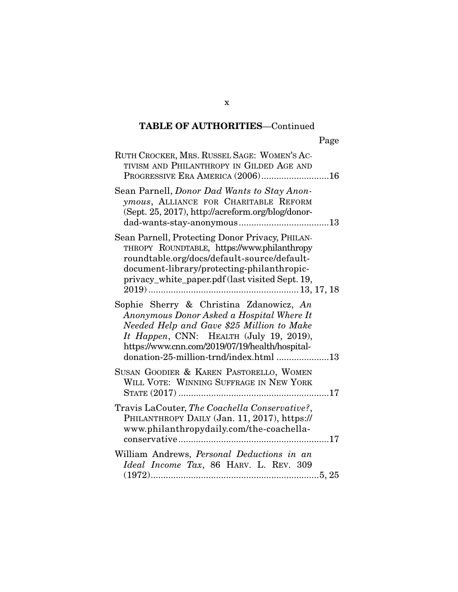| RUTH CROCKER, MRS. RUSSEL SAGE: WOMEN'S AC-<br>TIVISM AND PHILANTHROPY IN GILDED AGE AND<br>PROGRESSIVE ERA AMERICA (2006)16                                                                                                                                              |
|---------------------------------------------------------------------------------------------------------------------------------------------------------------------------------------------------------------------------------------------------------------------------|
| Sean Parnell, Donor Dad Wants to Stay Anon-<br>ymous, ALLIANCE FOR CHARITABLE REFORM<br>(Sept. 25, 2017), http://acreform.org/blog/donor-                                                                                                                                 |
| Sean Parnell, Protecting Donor Privacy, PHILAN-<br>THROPY ROUNDTABLE, https://www.philanthropy<br>roundtable.org/docs/default-source/default-<br>document-library/protecting-philanthropic-<br>privacy_white_paper.pdf (last visited Sept. 19,                            |
| Sophie Sherry & Christina Zdanowicz, An<br>Anonymous Donor Asked a Hospital Where It<br>Needed Help and Gave \$25 Million to Make<br>It Happen, CNN: HEALTH (July 19, 2019),<br>https://www.cnn.com/2019/07/19/health/hospital-<br>donation-25-million-trnd/index.html 13 |
| SUSAN GOODIER & KAREN PASTORELLO, WOMEN<br>WILL VOTE: WINNING SUFFRAGE IN NEW YORK                                                                                                                                                                                        |
| Travis LaCouter, The Coachella Conservative?,<br>PHILANTHROPY DAILY (Jan. 11, 2017), https://<br>www.philanthropydaily.com/the-coachella-                                                                                                                                 |
| William Andrews, Personal Deductions in an<br>Ideal Income Tax, 86 HARV. L. REV. 309                                                                                                                                                                                      |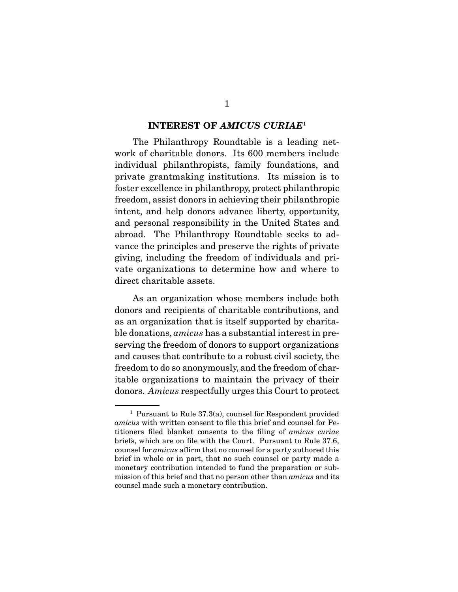#### **INTEREST OF** *AMICUS CURIAE*<sup>1</sup>

 The Philanthropy Roundtable is a leading network of charitable donors. Its 600 members include individual philanthropists, family foundations, and private grantmaking institutions. Its mission is to foster excellence in philanthropy, protect philanthropic freedom, assist donors in achieving their philanthropic intent, and help donors advance liberty, opportunity, and personal responsibility in the United States and abroad. The Philanthropy Roundtable seeks to advance the principles and preserve the rights of private giving, including the freedom of individuals and private organizations to determine how and where to direct charitable assets.

 As an organization whose members include both donors and recipients of charitable contributions, and as an organization that is itself supported by charitable donations, amicus has a substantial interest in preserving the freedom of donors to support organizations and causes that contribute to a robust civil society, the freedom to do so anonymously, and the freedom of charitable organizations to maintain the privacy of their donors. Amicus respectfully urges this Court to protect

<sup>&</sup>lt;sup>1</sup> Pursuant to Rule  $37.3(a)$ , counsel for Respondent provided amicus with written consent to file this brief and counsel for Petitioners filed blanket consents to the filing of amicus curiae briefs, which are on file with the Court. Pursuant to Rule 37.6, counsel for amicus affirm that no counsel for a party authored this brief in whole or in part, that no such counsel or party made a monetary contribution intended to fund the preparation or submission of this brief and that no person other than amicus and its counsel made such a monetary contribution.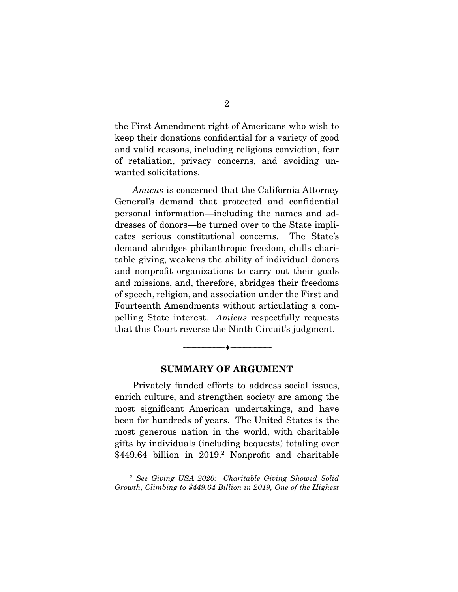the First Amendment right of Americans who wish to keep their donations confidential for a variety of good and valid reasons, including religious conviction, fear of retaliation, privacy concerns, and avoiding unwanted solicitations.

Amicus is concerned that the California Attorney General's demand that protected and confidential personal information—including the names and addresses of donors—be turned over to the State implicates serious constitutional concerns. The State's demand abridges philanthropic freedom, chills charitable giving, weakens the ability of individual donors and nonprofit organizations to carry out their goals and missions, and, therefore, abridges their freedoms of speech, religion, and association under the First and Fourteenth Amendments without articulating a compelling State interest. Amicus respectfully requests that this Court reverse the Ninth Circuit's judgment.

#### **SUMMARY OF ARGUMENT**

--------------------------------- ♦ ---------------------------------

 Privately funded efforts to address social issues, enrich culture, and strengthen society are among the most significant American undertakings, and have been for hundreds of years. The United States is the most generous nation in the world, with charitable gifts by individuals (including bequests) totaling over \$449.64 billion in 2019.<sup>2</sup> Nonprofit and charitable

<sup>2</sup> See Giving USA 2020: Charitable Giving Showed Solid Growth, Climbing to \$449.64 Billion in 2019, One of the Highest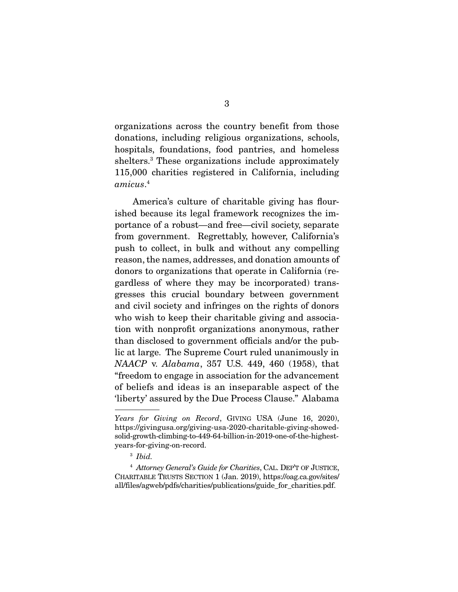organizations across the country benefit from those donations, including religious organizations, schools, hospitals, foundations, food pantries, and homeless shelters.3 These organizations include approximately 115,000 charities registered in California, including amicus. 4

America's culture of charitable giving has flourished because its legal framework recognizes the importance of a robust—and free—civil society, separate from government. Regrettably, however, California's push to collect, in bulk and without any compelling reason, the names, addresses, and donation amounts of donors to organizations that operate in California (regardless of where they may be incorporated) transgresses this crucial boundary between government and civil society and infringes on the rights of donors who wish to keep their charitable giving and association with nonprofit organizations anonymous, rather than disclosed to government officials and/or the public at large. The Supreme Court ruled unanimously in NAACP v. Alabama, 357 U.S. 449, 460 (1958), that "freedom to engage in association for the advancement of beliefs and ideas is an inseparable aspect of the 'liberty' assured by the Due Process Clause." Alabama

Years for Giving on Record, GIVING USA (June 16, 2020), https://givingusa.org/giving-usa-2020-charitable-giving-showedsolid-growth-climbing-to-449-64-billion-in-2019-one-of-the-highestyears-for-giving-on-record.

<sup>3</sup> Ibid.

<sup>&</sup>lt;sup>4</sup> Attorney General's Guide for Charities, CAL. DEP'T OF JUSTICE, CHARITABLE TRUSTS SECTION 1 (Jan. 2019), https://oag.ca.gov/sites/ all/files/agweb/pdfs/charities/publications/guide\_for\_charities.pdf.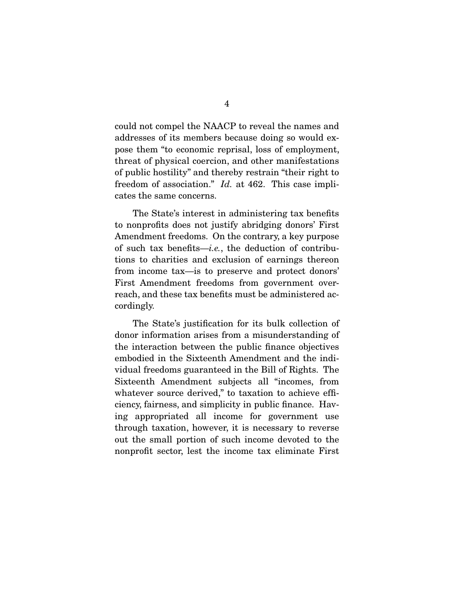could not compel the NAACP to reveal the names and addresses of its members because doing so would expose them "to economic reprisal, loss of employment, threat of physical coercion, and other manifestations of public hostility" and thereby restrain "their right to freedom of association." *Id.* at 462. This case implicates the same concerns.

 The State's interest in administering tax benefits to nonprofits does not justify abridging donors' First Amendment freedoms. On the contrary, a key purpose of such tax benefits—*i.e.*, the deduction of contributions to charities and exclusion of earnings thereon from income tax—is to preserve and protect donors' First Amendment freedoms from government overreach, and these tax benefits must be administered accordingly.

 The State's justification for its bulk collection of donor information arises from a misunderstanding of the interaction between the public finance objectives embodied in the Sixteenth Amendment and the individual freedoms guaranteed in the Bill of Rights. The Sixteenth Amendment subjects all "incomes, from whatever source derived," to taxation to achieve efficiency, fairness, and simplicity in public finance. Having appropriated all income for government use through taxation, however, it is necessary to reverse out the small portion of such income devoted to the nonprofit sector, lest the income tax eliminate First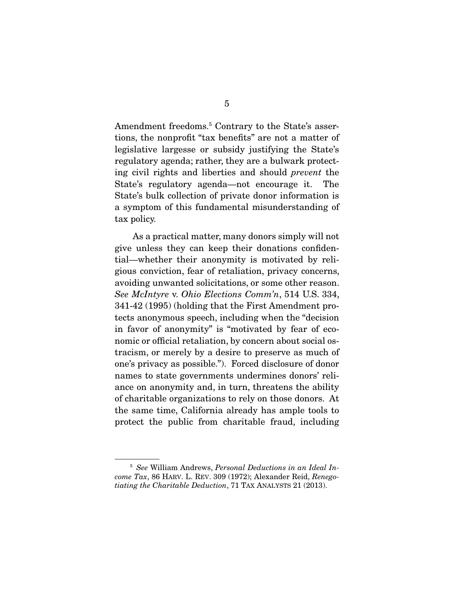Amendment freedoms.<sup>5</sup> Contrary to the State's assertions, the nonprofit "tax benefits" are not a matter of legislative largesse or subsidy justifying the State's regulatory agenda; rather, they are a bulwark protecting civil rights and liberties and should prevent the State's regulatory agenda—not encourage it. The State's bulk collection of private donor information is a symptom of this fundamental misunderstanding of tax policy.

 As a practical matter, many donors simply will not give unless they can keep their donations confidential—whether their anonymity is motivated by religious conviction, fear of retaliation, privacy concerns, avoiding unwanted solicitations, or some other reason. See McIntyre v. Ohio Elections Comm'n, 514 U.S. 334, 341-42 (1995) (holding that the First Amendment protects anonymous speech, including when the "decision in favor of anonymity" is "motivated by fear of economic or official retaliation, by concern about social ostracism, or merely by a desire to preserve as much of one's privacy as possible."). Forced disclosure of donor names to state governments undermines donors' reliance on anonymity and, in turn, threatens the ability of charitable organizations to rely on those donors. At the same time, California already has ample tools to protect the public from charitable fraud, including

<sup>5</sup> See William Andrews, Personal Deductions in an Ideal Income Tax, 86 HARV. L. REV. 309 (1972); Alexander Reid, Renegotiating the Charitable Deduction, 71 TAX ANALYSTS 21 (2013).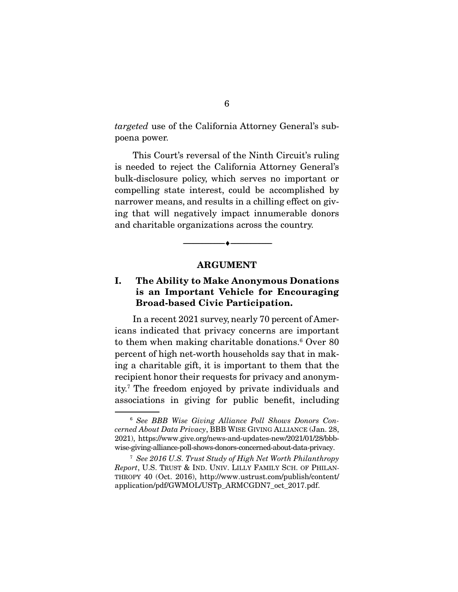targeted use of the California Attorney General's subpoena power.

 This Court's reversal of the Ninth Circuit's ruling is needed to reject the California Attorney General's bulk-disclosure policy, which serves no important or compelling state interest, could be accomplished by narrower means, and results in a chilling effect on giving that will negatively impact innumerable donors and charitable organizations across the country.

#### **ARGUMENT**

--------------------------------- ♦ ---------------------------------

### **I. The Ability to Make Anonymous Donations is an Important Vehicle for Encouraging Broad-based Civic Participation.**

 In a recent 2021 survey, nearly 70 percent of Americans indicated that privacy concerns are important to them when making charitable donations.<sup>6</sup> Over 80 percent of high net-worth households say that in making a charitable gift, it is important to them that the recipient honor their requests for privacy and anonymity.7 The freedom enjoyed by private individuals and associations in giving for public benefit, including

<sup>6</sup> See BBB Wise Giving Alliance Poll Shows Donors Concerned About Data Privacy, BBB WISE GIVING ALLIANCE (Jan. 28, 2021), https://www.give.org/news-and-updates-new/2021/01/28/bbbwise-giving-alliance-poll-shows-donors-concerned-about-data-privacy.

<sup>7</sup> See 2016 U.S. Trust Study of High Net Worth Philanthropy Report, U.S. TRUST & IND. UNIV. LILLY FAMILY SCH. OF PHILAN-THROPY 40 (Oct. 2016), http://www.ustrust.com/publish/content/ application/pdf/GWMOL/USTp\_ARMCGDN7\_oct\_2017.pdf.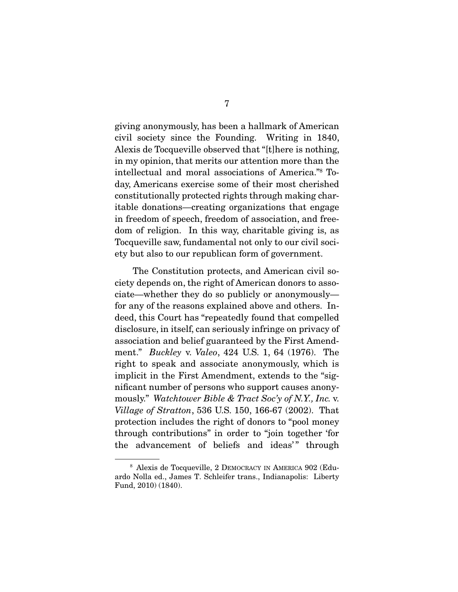giving anonymously, has been a hallmark of American civil society since the Founding. Writing in 1840, Alexis de Tocqueville observed that "[t]here is nothing, in my opinion, that merits our attention more than the intellectual and moral associations of America."8 Today, Americans exercise some of their most cherished constitutionally protected rights through making charitable donations—creating organizations that engage in freedom of speech, freedom of association, and freedom of religion. In this way, charitable giving is, as Tocqueville saw, fundamental not only to our civil society but also to our republican form of government.

 The Constitution protects, and American civil society depends on, the right of American donors to associate—whether they do so publicly or anonymously for any of the reasons explained above and others. Indeed, this Court has "repeatedly found that compelled disclosure, in itself, can seriously infringe on privacy of association and belief guaranteed by the First Amendment." Buckley v. Valeo, 424 U.S. 1, 64 (1976). The right to speak and associate anonymously, which is implicit in the First Amendment, extends to the "significant number of persons who support causes anonymously." Watchtower Bible & Tract Soc'y of N.Y., Inc. v. Village of Stratton, 536 U.S. 150, 166-67 (2002). That protection includes the right of donors to "pool money through contributions" in order to "join together 'for the advancement of beliefs and ideas'" through

<sup>8</sup> Alexis de Tocqueville, 2 DEMOCRACY IN AMERICA 902 (Eduardo Nolla ed., James T. Schleifer trans., Indianapolis: Liberty Fund, 2010) (1840).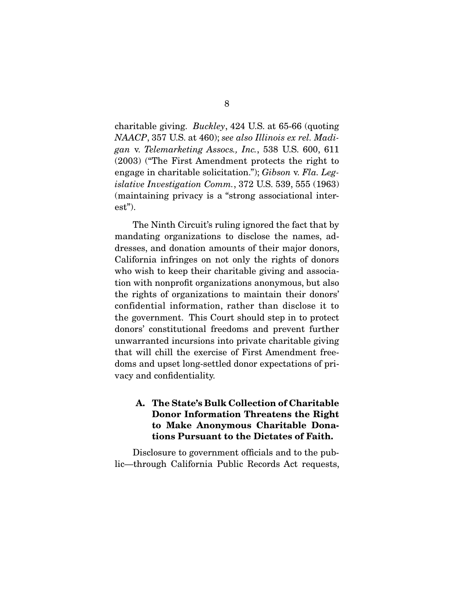charitable giving. Buckley, 424 U.S. at 65-66 (quoting NAACP, 357 U.S. at 460); see also Illinois ex rel. Madigan v. Telemarketing Assocs., Inc., 538 U.S. 600, 611 (2003) ("The First Amendment protects the right to engage in charitable solicitation."); Gibson v. Fla. Legislative Investigation Comm., 372 U.S. 539, 555 (1963) (maintaining privacy is a "strong associational interest").

 The Ninth Circuit's ruling ignored the fact that by mandating organizations to disclose the names, addresses, and donation amounts of their major donors, California infringes on not only the rights of donors who wish to keep their charitable giving and association with nonprofit organizations anonymous, but also the rights of organizations to maintain their donors' confidential information, rather than disclose it to the government. This Court should step in to protect donors' constitutional freedoms and prevent further unwarranted incursions into private charitable giving that will chill the exercise of First Amendment freedoms and upset long-settled donor expectations of privacy and confidentiality.

### **A. The State's Bulk Collection of Charitable Donor Information Threatens the Right to Make Anonymous Charitable Donations Pursuant to the Dictates of Faith.**

 Disclosure to government officials and to the public—through California Public Records Act requests,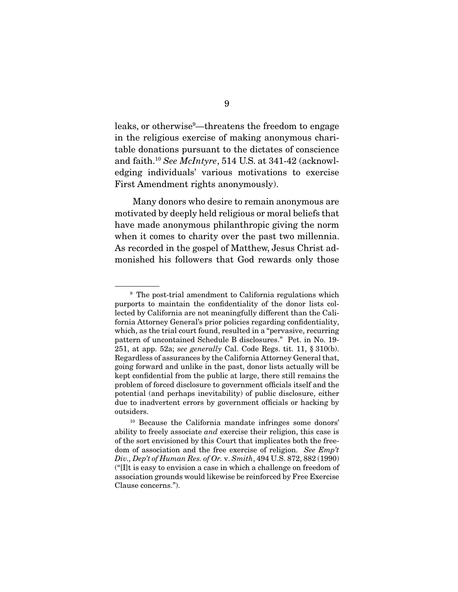leaks, or otherwise<sup>9</sup>—threatens the freedom to engage in the religious exercise of making anonymous charitable donations pursuant to the dictates of conscience and faith.10 See McIntyre, 514 U.S. at 341-42 (acknowledging individuals' various motivations to exercise First Amendment rights anonymously).

 Many donors who desire to remain anonymous are motivated by deeply held religious or moral beliefs that have made anonymous philanthropic giving the norm when it comes to charity over the past two millennia. As recorded in the gospel of Matthew, Jesus Christ admonished his followers that God rewards only those

<sup>&</sup>lt;sup>9</sup> The post-trial amendment to California regulations which purports to maintain the confidentiality of the donor lists collected by California are not meaningfully different than the California Attorney General's prior policies regarding confidentiality, which, as the trial court found, resulted in a "pervasive, recurring pattern of uncontained Schedule B disclosures." Pet. in No. 19- 251, at app. 52a; see generally Cal. Code Regs. tit. 11,  $\S 310(b)$ . Regardless of assurances by the California Attorney General that, going forward and unlike in the past, donor lists actually will be kept confidential from the public at large, there still remains the problem of forced disclosure to government officials itself and the potential (and perhaps inevitability) of public disclosure, either due to inadvertent errors by government officials or hacking by outsiders.

<sup>10</sup> Because the California mandate infringes some donors' ability to freely associate and exercise their religion, this case is of the sort envisioned by this Court that implicates both the freedom of association and the free exercise of religion. See Emp't Div., Dep't of Human Res. of Or. v. Smith, 494 U.S. 872, 882 (1990) ("[I]t is easy to envision a case in which a challenge on freedom of association grounds would likewise be reinforced by Free Exercise Clause concerns.").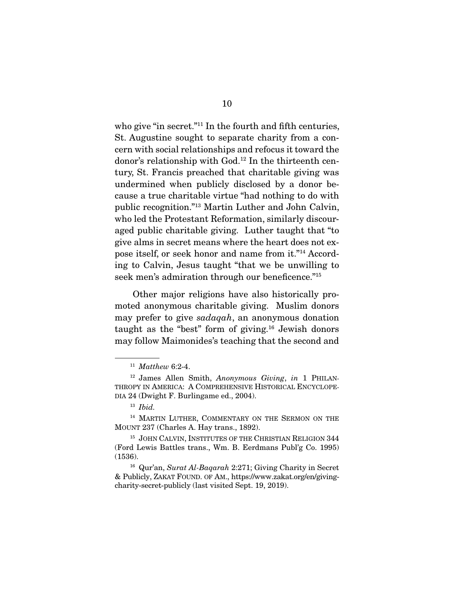who give "in secret."<sup>11</sup> In the fourth and fifth centuries, St. Augustine sought to separate charity from a concern with social relationships and refocus it toward the donor's relationship with God.12 In the thirteenth century, St. Francis preached that charitable giving was undermined when publicly disclosed by a donor because a true charitable virtue "had nothing to do with public recognition."13 Martin Luther and John Calvin, who led the Protestant Reformation, similarly discouraged public charitable giving. Luther taught that "to give alms in secret means where the heart does not expose itself, or seek honor and name from it."14 According to Calvin, Jesus taught "that we be unwilling to seek men's admiration through our beneficence."<sup>15</sup>

 Other major religions have also historically promoted anonymous charitable giving. Muslim donors may prefer to give sadaqah, an anonymous donation taught as the "best" form of giving. $16$  Jewish donors may follow Maimonides's teaching that the second and

 $11$  Matthew 6:2-4.

 $12$  James Allen Smith, Anonymous Giving, in 1 PHILAN-THROPY IN AMERICA: A COMPREHENSIVE HISTORICAL ENCYCLOPE-DIA 24 (Dwight F. Burlingame ed., 2004).

 $13$  *Ibid.* 

<sup>&</sup>lt;sup>14</sup> MARTIN LUTHER, COMMENTARY ON THE SERMON ON THE MOUNT 237 (Charles A. Hay trans., 1892).

<sup>&</sup>lt;sup>15</sup> JOHN CALVIN, INSTITUTES OF THE CHRISTIAN RELIGION 344 (Ford Lewis Battles trans., Wm. B. Eerdmans Publ'g Co. 1995) (1536).

<sup>&</sup>lt;sup>16</sup> Qur'an, Surat Al-Bagarah 2:271; Giving Charity in Secret & Publicly, ZAKAT FOUND. OF AM., https://www.zakat.org/en/givingcharity-secret-publicly (last visited Sept. 19, 2019).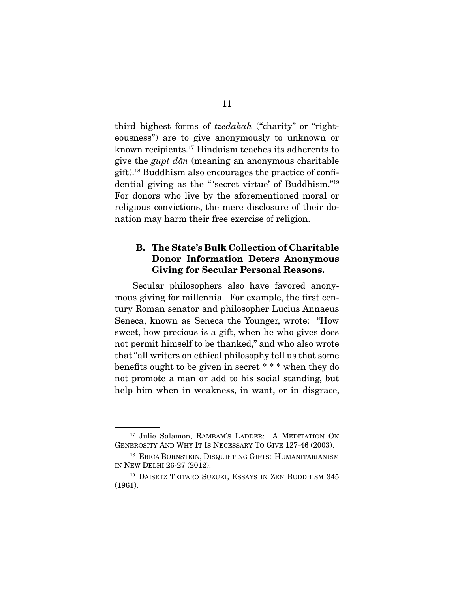third highest forms of tzedakah ("charity" or "righteousness") are to give anonymously to unknown or known recipients.17 Hinduism teaches its adherents to give the gupt d*ā*n (meaning an anonymous charitable gift).18 Buddhism also encourages the practice of confidential giving as the " 'secret virtue' of Buddhism."19 For donors who live by the aforementioned moral or religious convictions, the mere disclosure of their donation may harm their free exercise of religion.

### **B. The State's Bulk Collection of Charitable Donor Information Deters Anonymous Giving for Secular Personal Reasons.**

 Secular philosophers also have favored anonymous giving for millennia. For example, the first century Roman senator and philosopher Lucius Annaeus Seneca, known as Seneca the Younger, wrote: "How sweet, how precious is a gift, when he who gives does not permit himself to be thanked," and who also wrote that "all writers on ethical philosophy tell us that some benefits ought to be given in secret \* \* \* when they do not promote a man or add to his social standing, but help him when in weakness, in want, or in disgrace,

<sup>17</sup> Julie Salamon, RAMBAM'S LADDER: A MEDITATION ON GENEROSITY AND WHY IT IS NECESSARY TO GIVE 127-46 (2003).

<sup>&</sup>lt;sup>18</sup> ERICA BORNSTEIN, DISQUIETING GIFTS: HUMANITARIANISM IN NEW DELHI 26-27 (2012).

<sup>19</sup> DAISETZ TEITARO SUZUKI, ESSAYS IN ZEN BUDDHISM 345 (1961).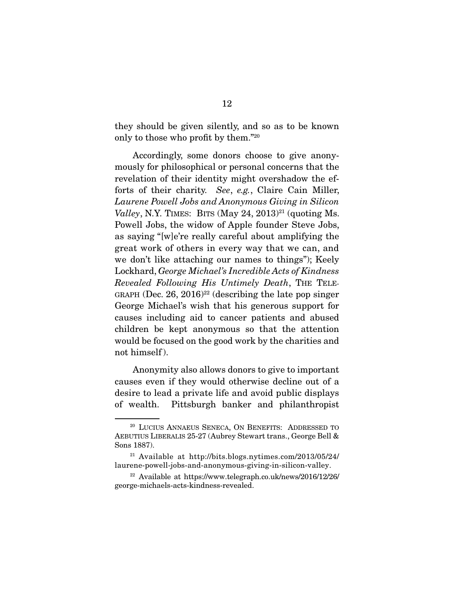they should be given silently, and so as to be known only to those who profit by them."20

 Accordingly, some donors choose to give anonymously for philosophical or personal concerns that the revelation of their identity might overshadow the efforts of their charity. See, e.g., Claire Cain Miller, Laurene Powell Jobs and Anonymous Giving in Silicon Valley, N.Y. TIMES: BITS (May 24, 2013)<sup>21</sup> (quoting Ms. Powell Jobs, the widow of Apple founder Steve Jobs, as saying "[w]e're really careful about amplifying the great work of others in every way that we can, and we don't like attaching our names to things"); Keely Lockhard, George Michael's Incredible Acts of Kindness Revealed Following His Untimely Death, THE TELE-GRAPH (Dec. 26, 2016)<sup>22</sup> (describing the late pop singer George Michael's wish that his generous support for causes including aid to cancer patients and abused children be kept anonymous so that the attention would be focused on the good work by the charities and not himself ).

 Anonymity also allows donors to give to important causes even if they would otherwise decline out of a desire to lead a private life and avoid public displays of wealth. Pittsburgh banker and philanthropist

<sup>20</sup> LUCIUS ANNAEUS SENECA, ON BENEFITS: ADDRESSED TO AEBUTIUS LIBERALIS 25-27 (Aubrey Stewart trans., George Bell & Sons 1887).

<sup>21</sup> Available at http://bits.blogs.nytimes.com/2013/05/24/ laurene-powell-jobs-and-anonymous-giving-in-silicon-valley.

<sup>22</sup> Available at https://www.telegraph.co.uk/news/2016/12/26/ george-michaels-acts-kindness-revealed.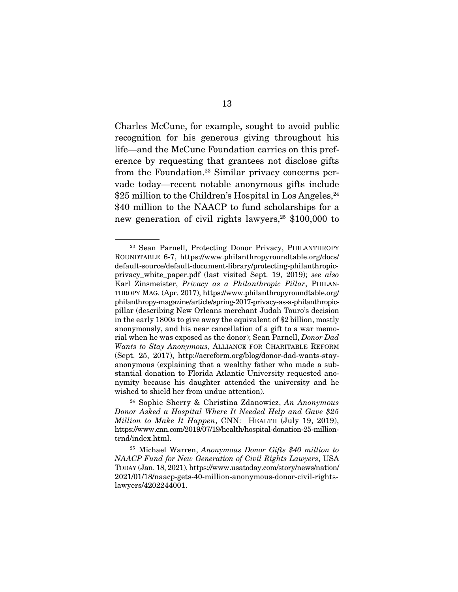Charles McCune, for example, sought to avoid public recognition for his generous giving throughout his life—and the McCune Foundation carries on this preference by requesting that grantees not disclose gifts from the Foundation.<sup>23</sup> Similar privacy concerns pervade today—recent notable anonymous gifts include  $$25$  million to the Children's Hospital in Los Angeles,  $^{24}$ \$40 million to the NAACP to fund scholarships for a new generation of civil rights lawyers, $25 \text{ $100,000}$  to

<sup>&</sup>lt;sup>23</sup> Sean Parnell, Protecting Donor Privacy, PHILANTHROPY ROUNDTABLE 6-7, https://www.philanthropyroundtable.org/docs/ default-source/default-document-library/protecting-philanthropicprivacy\_white\_paper.pdf (last visited Sept. 19, 2019); see also Karl Zinsmeister, Privacy as a Philanthropic Pillar, PHILAN-THROPY MAG. (Apr. 2017), https://www.philanthropyroundtable.org/ philanthropy-magazine/article/spring-2017-privacy-as-a-philanthropicpillar (describing New Orleans merchant Judah Touro's decision in the early 1800s to give away the equivalent of \$2 billion, mostly anonymously, and his near cancellation of a gift to a war memorial when he was exposed as the donor); Sean Parnell, Donor Dad Wants to Stay Anonymous, ALLIANCE FOR CHARITABLE REFORM (Sept. 25, 2017), http://acreform.org/blog/donor-dad-wants-stayanonymous (explaining that a wealthy father who made a substantial donation to Florida Atlantic University requested anonymity because his daughter attended the university and he wished to shield her from undue attention).

<sup>&</sup>lt;sup>24</sup> Sophie Sherry & Christina Zdanowicz, An Anonymous Donor Asked a Hospital Where It Needed Help and Gave \$25 Million to Make It Happen, CNN: HEALTH (July 19, 2019), https://www.cnn.com/2019/07/19/health/hospital-donation-25-milliontrnd/index.html.

<sup>&</sup>lt;sup>25</sup> Michael Warren, Anonymous Donor Gifts \$40 million to NAACP Fund for New Generation of Civil Rights Lawyers, USA TODAY (Jan. 18, 2021), https://www.usatoday.com/story/news/nation/ 2021/01/18/naacp-gets-40-million-anonymous-donor-civil-rightslawyers/4202244001.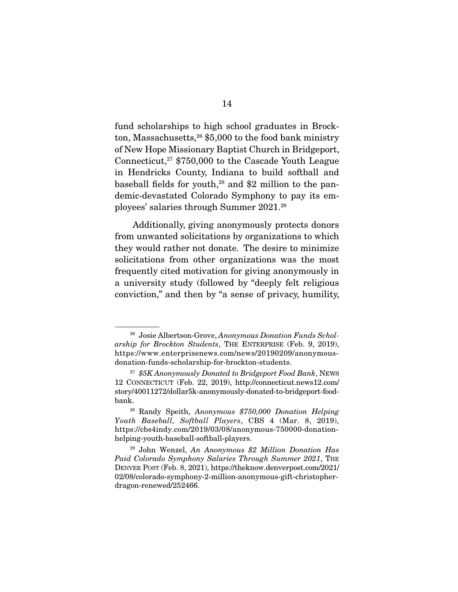fund scholarships to high school graduates in Brockton, Massachusetts,  $26$  \$5,000 to the food bank ministry of New Hope Missionary Baptist Church in Bridgeport, Connecticut, $27$  \$750,000 to the Cascade Youth League in Hendricks County, Indiana to build softball and baseball fields for youth, $28$  and \$2 million to the pandemic-devastated Colorado Symphony to pay its employees' salaries through Summer 2021.29

 Additionally, giving anonymously protects donors from unwanted solicitations by organizations to which they would rather not donate. The desire to minimize solicitations from other organizations was the most frequently cited motivation for giving anonymously in a university study (followed by "deeply felt religious conviction," and then by "a sense of privacy, humility,

<sup>&</sup>lt;sup>26</sup> Josie Albertson-Grove, Anonymous Donation Funds Scholarship for Brockton Students, THE ENTERPRISE (Feb. 9, 2019), https://www.enterprisenews.com/news/20190209/anonymousdonation-funds-scholarship-for-brockton-students.

 $27$  \$5K Anonymously Donated to Bridgeport Food Bank, NEWS 12 CONNECTICUT (Feb. 22, 2019), http://connecticut.news12.com/ story/40011272/dollar5k-anonymously-donated-to-bridgeport-foodbank.

<sup>28</sup> Randy Speith, Anonymous \$750,000 Donation Helping Youth Baseball, Softball Players, CBS 4 (Mar. 8, 2019), https://cbs4indy.com/2019/03/08/anonymous-750000-donationhelping-youth-baseball-softball-players.

 $29$  John Wenzel, An Anonymous \$2 Million Donation Has Paid Colorado Symphony Salaries Through Summer 2021, THE DENVER POST (Feb. 8, 2021), https://theknow.denverpost.com/2021/ 02/08/colorado-symphony-2-million-anonymous-gift-christopherdragon-renewed/252466.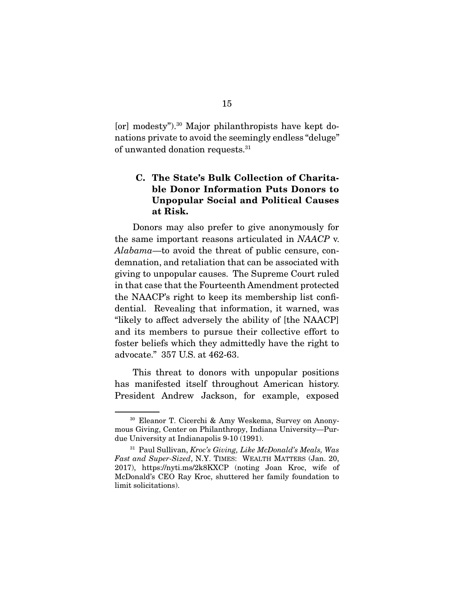[or] modesty").30 Major philanthropists have kept donations private to avoid the seemingly endless "deluge" of unwanted donation requests.31

### **C. The State's Bulk Collection of Charitable Donor Information Puts Donors to Unpopular Social and Political Causes at Risk.**

 Donors may also prefer to give anonymously for the same important reasons articulated in NAACP v. Alabama—to avoid the threat of public censure, condemnation, and retaliation that can be associated with giving to unpopular causes. The Supreme Court ruled in that case that the Fourteenth Amendment protected the NAACP's right to keep its membership list confidential. Revealing that information, it warned, was "likely to affect adversely the ability of [the NAACP] and its members to pursue their collective effort to foster beliefs which they admittedly have the right to advocate." 357 U.S. at 462-63.

 This threat to donors with unpopular positions has manifested itself throughout American history. President Andrew Jackson, for example, exposed

<sup>30</sup> Eleanor T. Cicerchi & Amy Weskema, Survey on Anonymous Giving, Center on Philanthropy, Indiana University—Purdue University at Indianapolis 9-10 (1991).

 $31$  Paul Sullivan, Kroc's Giving, Like McDonald's Meals, Was Fast and Super-Sized, N.Y. TIMES: WEALTH MATTERS (Jan. 20, 2017), https://nyti.ms/2k8KXCP (noting Joan Kroc, wife of McDonald's CEO Ray Kroc, shuttered her family foundation to limit solicitations).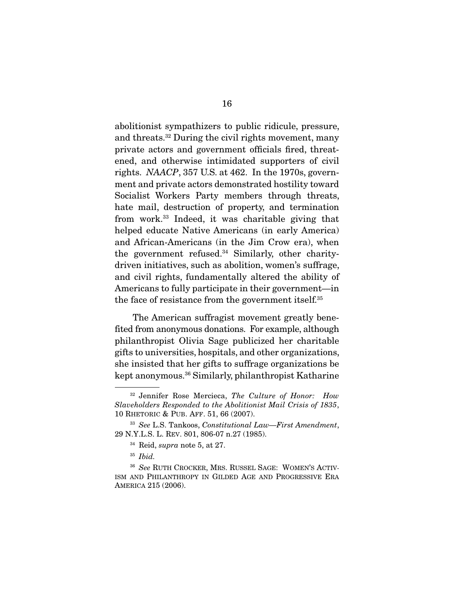abolitionist sympathizers to public ridicule, pressure, and threats.32 During the civil rights movement, many private actors and government officials fired, threatened, and otherwise intimidated supporters of civil rights. NAACP, 357 U.S. at 462. In the 1970s, government and private actors demonstrated hostility toward Socialist Workers Party members through threats, hate mail, destruction of property, and termination from work.33 Indeed, it was charitable giving that helped educate Native Americans (in early America) and African-Americans (in the Jim Crow era), when the government refused.34 Similarly, other charitydriven initiatives, such as abolition, women's suffrage, and civil rights, fundamentally altered the ability of Americans to fully participate in their government—in the face of resistance from the government itself.35

 The American suffragist movement greatly benefited from anonymous donations. For example, although philanthropist Olivia Sage publicized her charitable gifts to universities, hospitals, and other organizations, she insisted that her gifts to suffrage organizations be kept anonymous.36 Similarly, philanthropist Katharine

<sup>&</sup>lt;sup>32</sup> Jennifer Rose Mercieca, The Culture of Honor: How Slaveholders Responded to the Abolitionist Mail Crisis of 1835, 10 RHETORIC & PUB. AFF. 51, 66 (2007).

 $33$  See L.S. Tankoos, Constitutional Law—First Amendment, 29 N.Y.L.S. L. REV. 801, 806-07 n.27 (1985).

 $34$  Reid, supra note 5, at 27.

 $35$  *Ibid.* 

<sup>36</sup> See RUTH CROCKER, MRS. RUSSEL SAGE: WOMEN'S ACTIV-ISM AND PHILANTHROPY IN GILDED AGE AND PROGRESSIVE ERA AMERICA 215 (2006).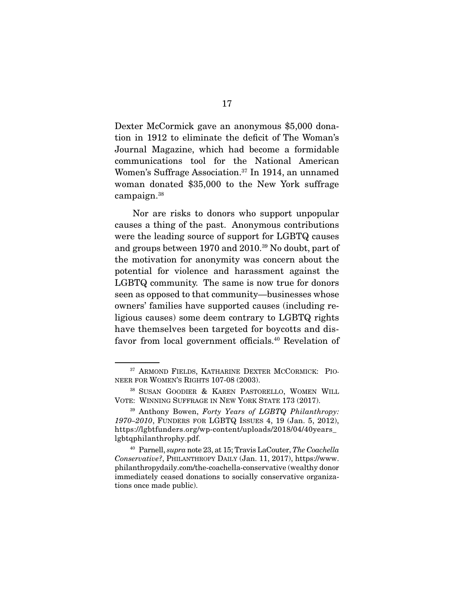Dexter McCormick gave an anonymous \$5,000 donation in 1912 to eliminate the deficit of The Woman's Journal Magazine, which had become a formidable communications tool for the National American Women's Suffrage Association.37 In 1914, an unnamed woman donated \$35,000 to the New York suffrage campaign.38

 Nor are risks to donors who support unpopular causes a thing of the past. Anonymous contributions were the leading source of support for LGBTQ causes and groups between 1970 and 2010.39 No doubt, part of the motivation for anonymity was concern about the potential for violence and harassment against the LGBTQ community. The same is now true for donors seen as opposed to that community—businesses whose owners' families have supported causes (including religious causes) some deem contrary to LGBTQ rights have themselves been targeted for boycotts and disfavor from local government officials.40 Revelation of

<sup>&</sup>lt;sup>37</sup> ARMOND FIELDS, KATHARINE DEXTER MCCORMICK: PIO-NEER FOR WOMEN'S RIGHTS 107-08 (2003).

<sup>38</sup> SUSAN GOODIER & KAREN PASTORELLO, WOMEN WILL VOTE: WINNING SUFFRAGE IN NEW YORK STATE 173 (2017).

 $39$  Anthony Bowen, Forty Years of LGBTQ Philanthropy: 1970–2010, FUNDERS FOR LGBTQ ISSUES 4, 19 (Jan. 5, 2012), https://lgbtfunders.org/wp-content/uploads/2018/04/40years\_ lgbtqphilanthrophy.pdf.

<sup>40</sup> Parnell, supra note 23, at 15; Travis LaCouter, The Coachella Conservative?, PHILANTHROPY DAILY (Jan. 11, 2017), https://www. philanthropydaily.com/the-coachella-conservative (wealthy donor immediately ceased donations to socially conservative organizations once made public).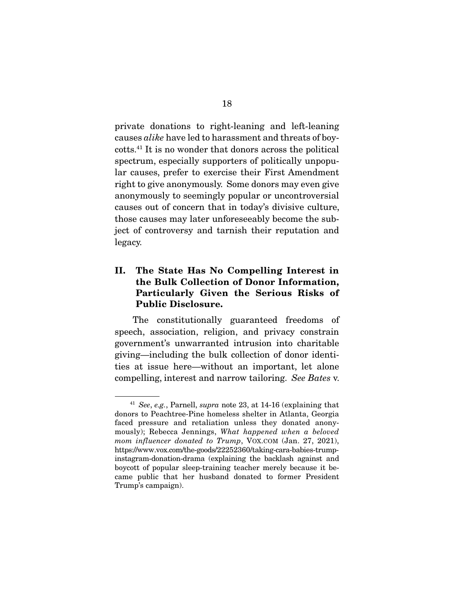private donations to right-leaning and left-leaning causes alike have led to harassment and threats of boycotts.41 It is no wonder that donors across the political spectrum, especially supporters of politically unpopular causes, prefer to exercise their First Amendment right to give anonymously. Some donors may even give anonymously to seemingly popular or uncontroversial causes out of concern that in today's divisive culture, those causes may later unforeseeably become the subject of controversy and tarnish their reputation and legacy.

### **II. The State Has No Compelling Interest in the Bulk Collection of Donor Information, Particularly Given the Serious Risks of Public Disclosure.**

 The constitutionally guaranteed freedoms of speech, association, religion, and privacy constrain government's unwarranted intrusion into charitable giving—including the bulk collection of donor identities at issue here—without an important, let alone compelling, interest and narrow tailoring. See Bates v.

<sup>&</sup>lt;sup>41</sup> See, e.g., Parnell, supra note 23, at  $14-16$  (explaining that donors to Peachtree-Pine homeless shelter in Atlanta, Georgia faced pressure and retaliation unless they donated anonymously); Rebecca Jennings, What happened when a beloved mom influencer donated to Trump, VOX.COM (Jan. 27, 2021), https://www.vox.com/the-goods/22252360/taking-cara-babies-trumpinstagram-donation-drama (explaining the backlash against and boycott of popular sleep-training teacher merely because it became public that her husband donated to former President Trump's campaign).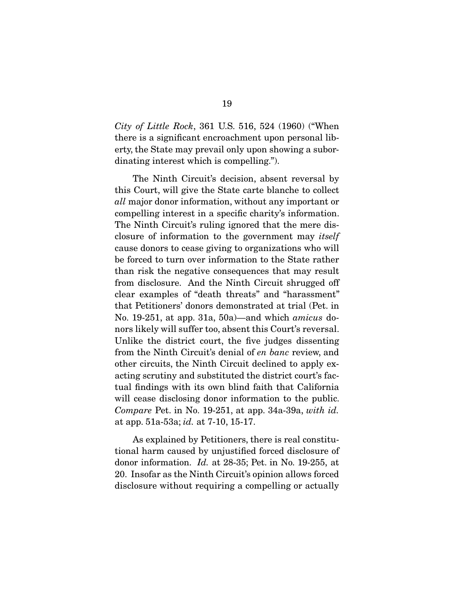City of Little Rock, 361 U.S. 516, 524 (1960) ("When there is a significant encroachment upon personal liberty, the State may prevail only upon showing a subordinating interest which is compelling.").

 The Ninth Circuit's decision, absent reversal by this Court, will give the State carte blanche to collect all major donor information, without any important or compelling interest in a specific charity's information. The Ninth Circuit's ruling ignored that the mere disclosure of information to the government may itself cause donors to cease giving to organizations who will be forced to turn over information to the State rather than risk the negative consequences that may result from disclosure. And the Ninth Circuit shrugged off clear examples of "death threats" and "harassment" that Petitioners' donors demonstrated at trial (Pet. in No. 19-251, at app. 31a, 50a)—and which amicus donors likely will suffer too, absent this Court's reversal. Unlike the district court, the five judges dissenting from the Ninth Circuit's denial of en banc review, and other circuits, the Ninth Circuit declined to apply exacting scrutiny and substituted the district court's factual findings with its own blind faith that California will cease disclosing donor information to the public. Compare Pet. in No. 19-251, at app. 34a-39a, with id. at app. 51a-53a; id. at 7-10, 15-17.

 As explained by Petitioners, there is real constitutional harm caused by unjustified forced disclosure of donor information. Id. at 28-35; Pet. in No. 19-255, at 20. Insofar as the Ninth Circuit's opinion allows forced disclosure without requiring a compelling or actually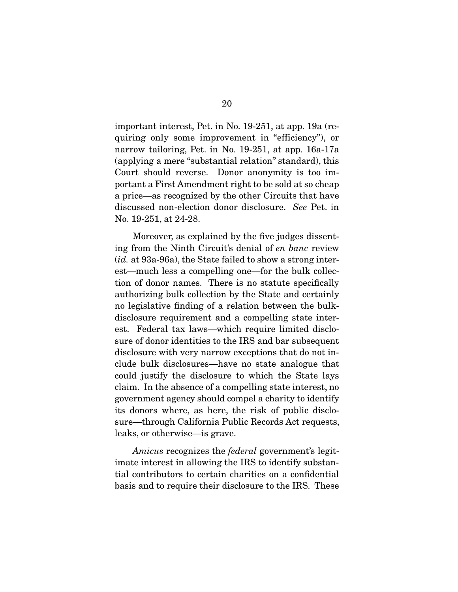important interest, Pet. in No. 19-251, at app. 19a (requiring only some improvement in "efficiency"), or narrow tailoring, Pet. in No. 19-251, at app. 16a-17a (applying a mere "substantial relation" standard), this Court should reverse. Donor anonymity is too important a First Amendment right to be sold at so cheap a price—as recognized by the other Circuits that have discussed non-election donor disclosure. See Pet. in No. 19-251, at 24-28.

 Moreover, as explained by the five judges dissenting from the Ninth Circuit's denial of en banc review (id. at 93a-96a), the State failed to show a strong interest—much less a compelling one—for the bulk collection of donor names. There is no statute specifically authorizing bulk collection by the State and certainly no legislative finding of a relation between the bulkdisclosure requirement and a compelling state interest. Federal tax laws—which require limited disclosure of donor identities to the IRS and bar subsequent disclosure with very narrow exceptions that do not include bulk disclosures—have no state analogue that could justify the disclosure to which the State lays claim. In the absence of a compelling state interest, no government agency should compel a charity to identify its donors where, as here, the risk of public disclosure—through California Public Records Act requests, leaks, or otherwise—is grave.

Amicus recognizes the federal government's legitimate interest in allowing the IRS to identify substantial contributors to certain charities on a confidential basis and to require their disclosure to the IRS. These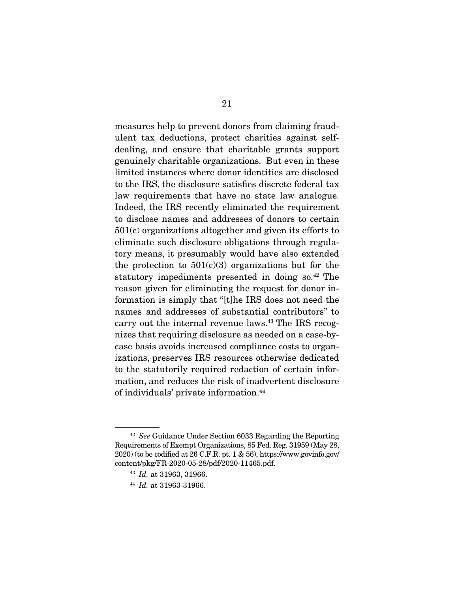measures help to prevent donors from claiming fraudulent tax deductions, protect charities against selfdealing, and ensure that charitable grants support genuinely charitable organizations. But even in these limited instances where donor identities are disclosed to the IRS, the disclosure satisfies discrete federal tax law requirements that have no state law analogue. Indeed, the IRS recently eliminated the requirement to disclose names and addresses of donors to certain 501(c) organizations altogether and given its efforts to eliminate such disclosure obligations through regulatory means, it presumably would have also extended the protection to  $501(c)(3)$  organizations but for the statutory impediments presented in doing so.42 The reason given for eliminating the request for donor information is simply that "[t]he IRS does not need the names and addresses of substantial contributors" to carry out the internal revenue laws.43 The IRS recognizes that requiring disclosure as needed on a case-bycase basis avoids increased compliance costs to organizations, preserves IRS resources otherwise dedicated to the statutorily required redaction of certain information, and reduces the risk of inadvertent disclosure of individuals' private information.44

<sup>42</sup> See Guidance Under Section 6033 Regarding the Reporting Requirements of Exempt Organizations, 85 Fed. Reg. 31959 (May 28, 2020) (to be codified at 26 C.F.R. pt. 1 & 56), https://www.govinfo.gov/ content/pkg/FR-2020-05-28/pdf/2020-11465.pdf.

<sup>43</sup> Id. at 31963, 31966.

<sup>44</sup> Id. at 31963-31966.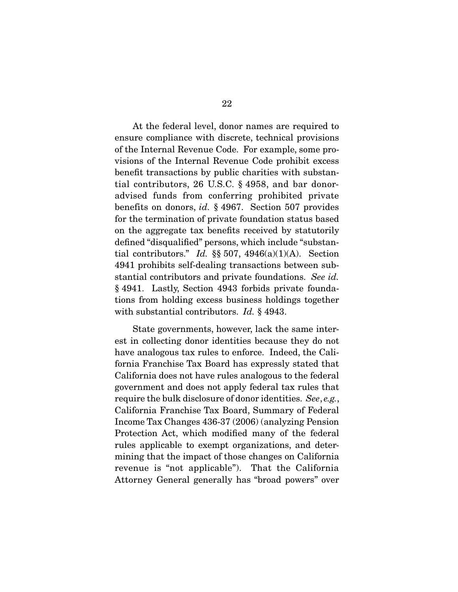At the federal level, donor names are required to ensure compliance with discrete, technical provisions of the Internal Revenue Code. For example, some provisions of the Internal Revenue Code prohibit excess benefit transactions by public charities with substantial contributors, 26 U.S.C. § 4958, and bar donoradvised funds from conferring prohibited private benefits on donors, id. § 4967. Section 507 provides for the termination of private foundation status based on the aggregate tax benefits received by statutorily defined "disqualified" persons, which include "substantial contributors." Id.  $\S$  507, 4946(a)(1)(A). Section 4941 prohibits self-dealing transactions between substantial contributors and private foundations. See id. § 4941. Lastly, Section 4943 forbids private foundations from holding excess business holdings together with substantial contributors. *Id.* § 4943.

 State governments, however, lack the same interest in collecting donor identities because they do not have analogous tax rules to enforce. Indeed, the California Franchise Tax Board has expressly stated that California does not have rules analogous to the federal government and does not apply federal tax rules that require the bulk disclosure of donor identities. See, e.g., California Franchise Tax Board, Summary of Federal Income Tax Changes 436-37 (2006) (analyzing Pension Protection Act, which modified many of the federal rules applicable to exempt organizations, and determining that the impact of those changes on California revenue is "not applicable"). That the California Attorney General generally has "broad powers" over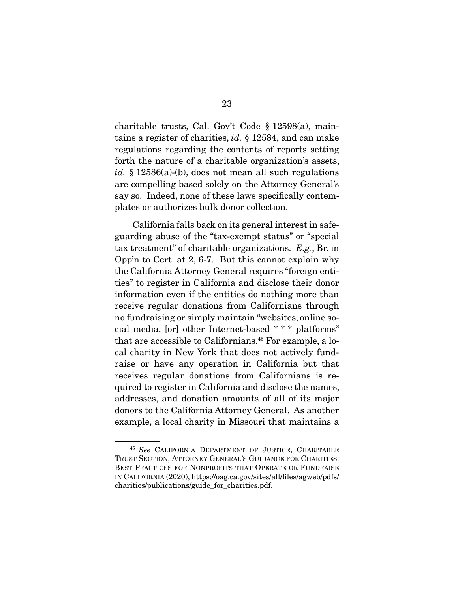charitable trusts, Cal. Gov't Code § 12598(a), maintains a register of charities, id. § 12584, and can make regulations regarding the contents of reports setting forth the nature of a charitable organization's assets, id. § 12586(a)-(b), does not mean all such regulations are compelling based solely on the Attorney General's say so. Indeed, none of these laws specifically contemplates or authorizes bulk donor collection.

 California falls back on its general interest in safeguarding abuse of the "tax-exempt status" or "special tax treatment" of charitable organizations. E.g., Br. in Opp'n to Cert. at 2, 6-7. But this cannot explain why the California Attorney General requires "foreign entities" to register in California and disclose their donor information even if the entities do nothing more than receive regular donations from Californians through no fundraising or simply maintain "websites, online social media, [or] other Internet-based \* \* \* platforms" that are accessible to Californians.45 For example, a local charity in New York that does not actively fundraise or have any operation in California but that receives regular donations from Californians is required to register in California and disclose the names, addresses, and donation amounts of all of its major donors to the California Attorney General. As another example, a local charity in Missouri that maintains a

<sup>45</sup> See CALIFORNIA DEPARTMENT OF JUSTICE, CHARITABLE TRUST SECTION, ATTORNEY GENERAL'S GUIDANCE FOR CHARITIES: BEST PRACTICES FOR NONPROFITS THAT OPERATE OR FUNDRAISE IN CALIFORNIA (2020), https://oag.ca.gov/sites/all/files/agweb/pdfs/ charities/publications/guide\_for\_charities.pdf.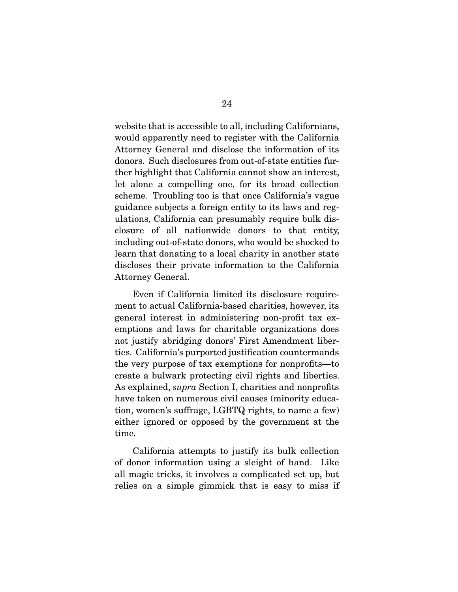website that is accessible to all, including Californians, would apparently need to register with the California Attorney General and disclose the information of its donors. Such disclosures from out-of-state entities further highlight that California cannot show an interest, let alone a compelling one, for its broad collection scheme. Troubling too is that once California's vague guidance subjects a foreign entity to its laws and regulations, California can presumably require bulk disclosure of all nationwide donors to that entity, including out-of-state donors, who would be shocked to learn that donating to a local charity in another state discloses their private information to the California Attorney General.

 Even if California limited its disclosure requirement to actual California-based charities, however, its general interest in administering non-profit tax exemptions and laws for charitable organizations does not justify abridging donors' First Amendment liberties. California's purported justification countermands the very purpose of tax exemptions for nonprofits—to create a bulwark protecting civil rights and liberties. As explained, supra Section I, charities and nonprofits have taken on numerous civil causes (minority education, women's suffrage, LGBTQ rights, to name a few) either ignored or opposed by the government at the time.

 California attempts to justify its bulk collection of donor information using a sleight of hand. Like all magic tricks, it involves a complicated set up, but relies on a simple gimmick that is easy to miss if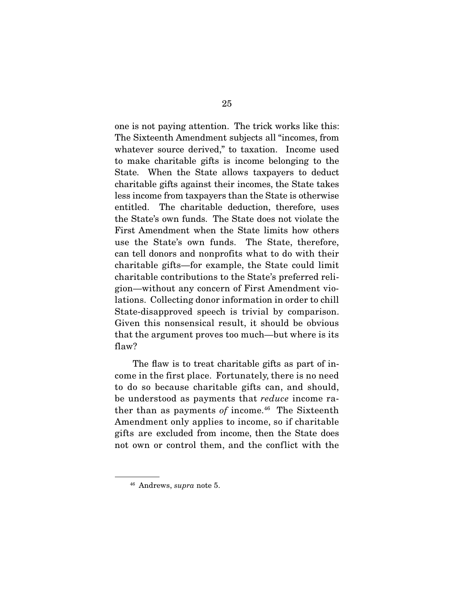one is not paying attention. The trick works like this: The Sixteenth Amendment subjects all "incomes, from whatever source derived," to taxation. Income used to make charitable gifts is income belonging to the State. When the State allows taxpayers to deduct charitable gifts against their incomes, the State takes less income from taxpayers than the State is otherwise entitled. The charitable deduction, therefore, uses the State's own funds. The State does not violate the First Amendment when the State limits how others use the State's own funds. The State, therefore, can tell donors and nonprofits what to do with their charitable gifts—for example, the State could limit charitable contributions to the State's preferred religion—without any concern of First Amendment violations. Collecting donor information in order to chill State-disapproved speech is trivial by comparison. Given this nonsensical result, it should be obvious that the argument proves too much—but where is its flaw?

 The flaw is to treat charitable gifts as part of income in the first place. Fortunately, there is no need to do so because charitable gifts can, and should, be understood as payments that reduce income rather than as payments of income. $46$  The Sixteenth Amendment only applies to income, so if charitable gifts are excluded from income, then the State does not own or control them, and the conflict with the

<sup>46</sup> Andrews, supra note 5.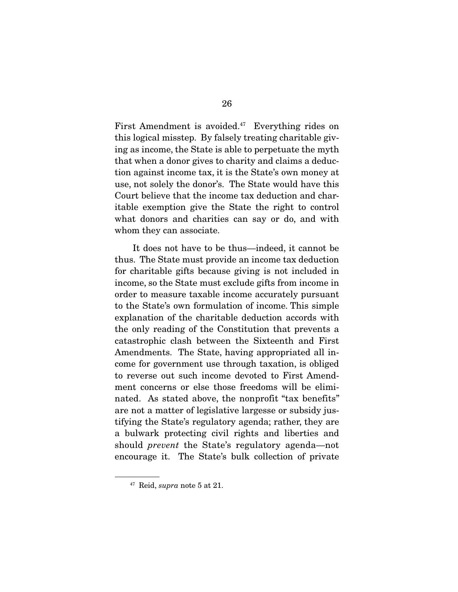First Amendment is avoided.<sup>47</sup> Everything rides on this logical misstep. By falsely treating charitable giving as income, the State is able to perpetuate the myth that when a donor gives to charity and claims a deduction against income tax, it is the State's own money at use, not solely the donor's. The State would have this Court believe that the income tax deduction and charitable exemption give the State the right to control what donors and charities can say or do, and with whom they can associate.

 It does not have to be thus—indeed, it cannot be thus. The State must provide an income tax deduction for charitable gifts because giving is not included in income, so the State must exclude gifts from income in order to measure taxable income accurately pursuant to the State's own formulation of income. This simple explanation of the charitable deduction accords with the only reading of the Constitution that prevents a catastrophic clash between the Sixteenth and First Amendments. The State, having appropriated all income for government use through taxation, is obliged to reverse out such income devoted to First Amendment concerns or else those freedoms will be eliminated. As stated above, the nonprofit "tax benefits" are not a matter of legislative largesse or subsidy justifying the State's regulatory agenda; rather, they are a bulwark protecting civil rights and liberties and should prevent the State's regulatory agenda—not encourage it. The State's bulk collection of private

<sup>47</sup> Reid, supra note 5 at 21.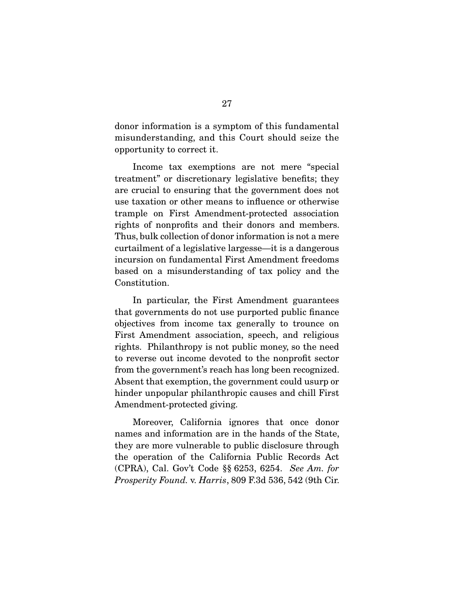donor information is a symptom of this fundamental misunderstanding, and this Court should seize the opportunity to correct it.

 Income tax exemptions are not mere "special treatment" or discretionary legislative benefits; they are crucial to ensuring that the government does not use taxation or other means to influence or otherwise trample on First Amendment-protected association rights of nonprofits and their donors and members. Thus, bulk collection of donor information is not a mere curtailment of a legislative largesse—it is a dangerous incursion on fundamental First Amendment freedoms based on a misunderstanding of tax policy and the Constitution.

 In particular, the First Amendment guarantees that governments do not use purported public finance objectives from income tax generally to trounce on First Amendment association, speech, and religious rights. Philanthropy is not public money, so the need to reverse out income devoted to the nonprofit sector from the government's reach has long been recognized. Absent that exemption, the government could usurp or hinder unpopular philanthropic causes and chill First Amendment-protected giving.

 Moreover, California ignores that once donor names and information are in the hands of the State, they are more vulnerable to public disclosure through the operation of the California Public Records Act (CPRA), Cal. Gov't Code §§ 6253, 6254. See Am. for Prosperity Found. v. Harris, 809 F.3d 536, 542 (9th Cir.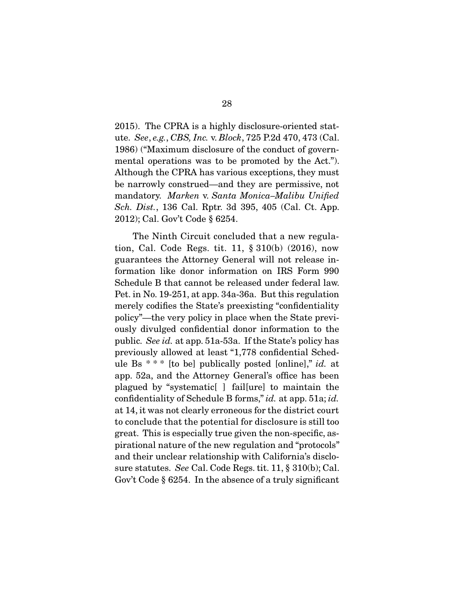2015). The CPRA is a highly disclosure-oriented statute. See, e.g., CBS, Inc. v. Block, 725 P.2d 470, 473 (Cal. 1986) ("Maximum disclosure of the conduct of governmental operations was to be promoted by the Act."). Although the CPRA has various exceptions, they must be narrowly construed—and they are permissive, not mandatory. Marken v. Santa Monica–Malibu Unified Sch. Dist., 136 Cal. Rptr. 3d 395, 405 (Cal. Ct. App. 2012); Cal. Gov't Code § 6254.

 The Ninth Circuit concluded that a new regulation, Cal. Code Regs. tit. 11, § 310(b) (2016), now guarantees the Attorney General will not release information like donor information on IRS Form 990 Schedule B that cannot be released under federal law. Pet. in No. 19-251, at app. 34a-36a. But this regulation merely codifies the State's preexisting "confidentiality policy"—the very policy in place when the State previously divulged confidential donor information to the public. See id. at app. 51a-53a. If the State's policy has previously allowed at least "1,778 confidential Schedule Bs  $***$  [to be] publically posted [online]," id. at app. 52a, and the Attorney General's office has been plagued by "systematic[ ] fail[ure] to maintain the confidentiality of Schedule B forms," id. at app. 51a; id. at 14, it was not clearly erroneous for the district court to conclude that the potential for disclosure is still too great. This is especially true given the non-specific, aspirational nature of the new regulation and "protocols" and their unclear relationship with California's disclosure statutes. See Cal. Code Regs. tit. 11, § 310(b); Cal. Gov't Code § 6254. In the absence of a truly significant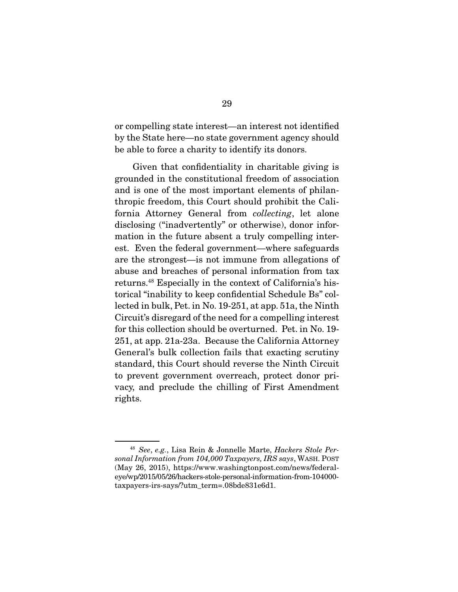or compelling state interest—an interest not identified by the State here—no state government agency should be able to force a charity to identify its donors.

 Given that confidentiality in charitable giving is grounded in the constitutional freedom of association and is one of the most important elements of philanthropic freedom, this Court should prohibit the California Attorney General from collecting, let alone disclosing ("inadvertently" or otherwise), donor information in the future absent a truly compelling interest. Even the federal government—where safeguards are the strongest—is not immune from allegations of abuse and breaches of personal information from tax returns.48 Especially in the context of California's historical "inability to keep confidential Schedule Bs" collected in bulk, Pet. in No. 19-251, at app. 51a, the Ninth Circuit's disregard of the need for a compelling interest for this collection should be overturned. Pet. in No. 19- 251, at app. 21a-23a. Because the California Attorney General's bulk collection fails that exacting scrutiny standard, this Court should reverse the Ninth Circuit to prevent government overreach, protect donor privacy, and preclude the chilling of First Amendment rights.

<sup>48</sup> See, e.g., Lisa Rein & Jonnelle Marte, Hackers Stole Personal Information from 104,000 Taxpayers, IRS says, WASH. POST (May 26, 2015), https://www.washingtonpost.com/news/federaleye/wp/2015/05/26/hackers-stole-personal-information-from-104000 taxpayers-irs-says/?utm\_term=.08bde831e6d1.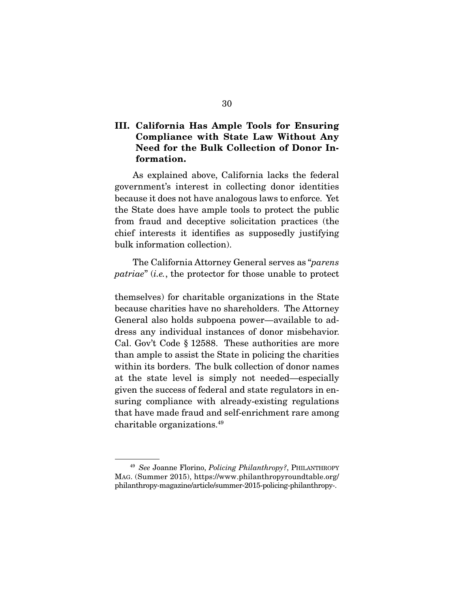### **III. California Has Ample Tools for Ensuring Compliance with State Law Without Any Need for the Bulk Collection of Donor Information.**

 As explained above, California lacks the federal government's interest in collecting donor identities because it does not have analogous laws to enforce. Yet the State does have ample tools to protect the public from fraud and deceptive solicitation practices (the chief interests it identifies as supposedly justifying bulk information collection).

 The California Attorney General serves as "parens patriae" (i.e., the protector for those unable to protect

themselves) for charitable organizations in the State because charities have no shareholders. The Attorney General also holds subpoena power—available to address any individual instances of donor misbehavior. Cal. Gov't Code § 12588. These authorities are more than ample to assist the State in policing the charities within its borders. The bulk collection of donor names at the state level is simply not needed—especially given the success of federal and state regulators in ensuring compliance with already-existing regulations that have made fraud and self-enrichment rare among charitable organizations.49

<sup>&</sup>lt;sup>49</sup> See Joanne Florino, *Policing Philanthropy*?, PHILANTHROPY MAG. (Summer 2015), https://www.philanthropyroundtable.org/ philanthropy-magazine/article/summer-2015-policing-philanthropy-.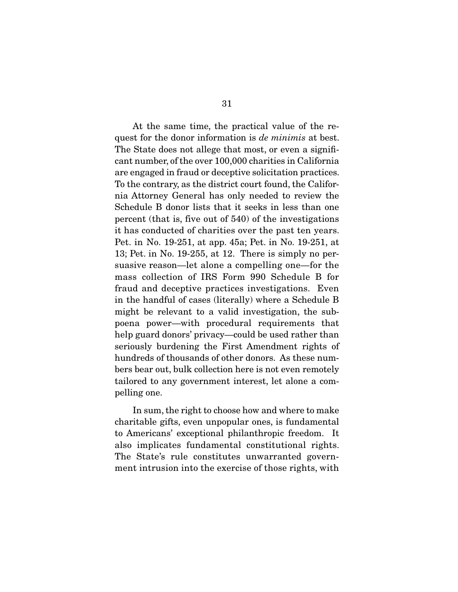At the same time, the practical value of the request for the donor information is *de minimis* at best. The State does not allege that most, or even a significant number, of the over 100,000 charities in California are engaged in fraud or deceptive solicitation practices. To the contrary, as the district court found, the California Attorney General has only needed to review the Schedule B donor lists that it seeks in less than one percent (that is, five out of 540) of the investigations it has conducted of charities over the past ten years. Pet. in No. 19-251, at app. 45a; Pet. in No. 19-251, at 13; Pet. in No. 19-255, at 12. There is simply no persuasive reason—let alone a compelling one—for the mass collection of IRS Form 990 Schedule B for fraud and deceptive practices investigations. Even in the handful of cases (literally) where a Schedule B might be relevant to a valid investigation, the subpoena power—with procedural requirements that help guard donors' privacy—could be used rather than seriously burdening the First Amendment rights of hundreds of thousands of other donors. As these numbers bear out, bulk collection here is not even remotely tailored to any government interest, let alone a compelling one.

 In sum, the right to choose how and where to make charitable gifts, even unpopular ones, is fundamental to Americans' exceptional philanthropic freedom. It also implicates fundamental constitutional rights. The State's rule constitutes unwarranted government intrusion into the exercise of those rights, with